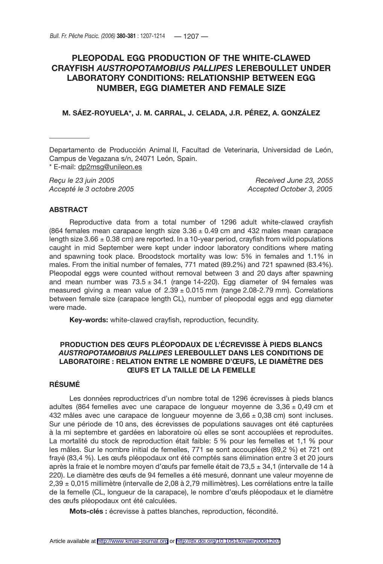# **PLEOPODAL EGG PRODUCTION OF THE WHITE-CLAWED CRAYFISH** *AUSTROPOTAMOBIUS PALLIPES* **LEREBOULLET UNDER LABORATORY CONDITIONS: RELATIONSHIP BETWEEN EGG NUMBER, EGG DIAMETER AND FEMALE SIZE**

## **M. SÁEZ-ROYUELA\*, J. M. CARRAL, J. CELADA, J.R. PÉREZ, A. GONZÁLEZ**

Departamento de Producción Animal II, Facultad de Veterinaria, Universidad de León, Campus de Vegazana s/n, 24071 León, Spain. \* E-mail: dp2msg@unileon.es

*Reçu le 23 juin 2005 Received June 23, 2055 Accepté le 3 octobre 2005 Accepted October 3, 2005*

# **ABSTRACT**

Reproductive data from a total number of 1296 adult white-clawed crayfish (864 females mean carapace length size  $3.36 \pm 0.49$  cm and 432 males mean carapace length size  $3.66 \pm 0.38$  cm) are reported. In a 10-year period, crayfish from wild populations caught in mid September were kept under indoor laboratory conditions where mating and spawning took place. Broodstock mortality was low: 5% in females and 1.1% in males. From the initial number of females, 771 mated (89.2%) and 721 spawned (83.4%). Pleopodal eggs were counted without removal between 3 and 20 days after spawning and mean number was  $73.5 \pm 34.1$  (range 14-220). Egg diameter of 94 females was measured giving a mean value of  $2.39 \pm 0.015$  mm (range 2.08-2.79 mm). Correlations between female size (carapace length CL), number of pleopodal eggs and egg diameter were made.

**Key-words:** white-clawed crayfish, reproduction, fecundity.

# **PRODUCTION DES ŒUFS PLÉOPODAUX DE L'ÉCREVISSE À PIEDS BLANCS** *AUSTROPOTAMOBIUS PALLIPES* **LEREBOULLET DANS LES CONDITIONS DE LABORATOIRE : RELATION ENTRE LE NOMBRE D'ŒUFS, LE DIAMÈTRE DES ŒUFS ET LA TAILLE DE LA FEMELLE**

# **RÉSUMÉ**

Les données reproductrices d'un nombre total de 1296 écrevisses à pieds blancs adultes (864 femelles avec une carapace de longueur moyenne de  $3,36 \pm 0,49$  cm et 432 mâles avec une carapace de longueur moyenne de  $3,66 \pm 0,38$  cm) sont incluses. Sur une période de 10 ans, des écrevisses de populations sauvages ont été capturées à la mi septembre et gardées en laboratoire où elles se sont accouplées et reproduites. La mortalité du stock de reproduction était faible: 5 % pour les femelles et 1,1 % pour les mâles. Sur le nombre initial de femelles, 771 se sont accouplées (89,2 %) et 721 ont frayé (83,4 %). Les œufs pléopodaux ont été comptés sans élimination entre 3 et 20 jours après la fraie et le nombre moyen d'œufs par femelle était de 73,5  $\pm$  34,1 (intervalle de 14 à 220). Le diamètre des œufs de 94 femelles a été mesuré, donnant une valeur moyenne de 2,39 ± 0,015 millimètre (intervalle de 2,08 à 2,79 millimètres). Les corrélations entre la taille de la femelle (CL, longueur de la carapace), le nombre d'œufs pléopodaux et le diamètre des œufs pléopodaux ont été calculées.

**Mots-clés :** écrevisse à pattes blanches, reproduction, fécondité.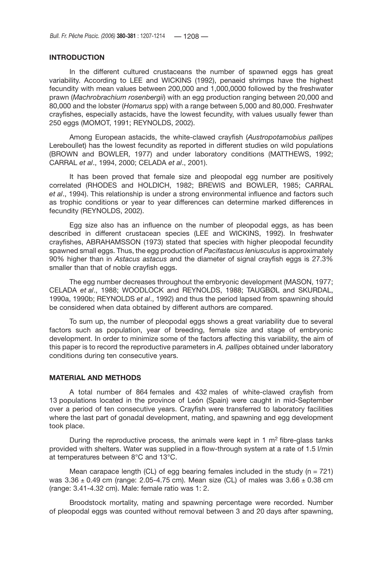### **INTRODUCTION**

In the different cultured crustaceans the number of spawned eggs has great variability. According to LEE and WICKINS (1992), penaeid shrimps have the highest fecundity with mean values between 200,000 and 1,000,0000 followed by the freshwater prawn (*Machrobrachium rosenbergii*) with an egg production ranging between 20,000 and 80,000 and the lobster (*Homarus* spp) with a range between 5,000 and 80,000. Freshwater crayfishes, especially astacids, have the lowest fecundity, with values usually fewer than 250 eggs (MOMOT, 1991; REYNOLDS, 2002).

Among European astacids, the white-clawed crayfish (*Austropotamobius pallipes* Lereboullet) has the lowest fecundity as reported in different studies on wild populations (BROWN and BOWLER, 1977) and under laboratory conditions (MATTHEWS, 1992; CARRAL *et al*., 1994, 2000; CELADA *et al*., 2001).

It has been proved that female size and pleopodal egg number are positively correlated (RHODES and HOLDICH, 1982; BREWIS and BOWLER, 1985; CARRAL *et al*., 1994). This relationship is under a strong environmental influence and factors such as trophic conditions or year to year differences can determine marked differences in fecundity (REYNOLDS, 2002).

Egg size also has an influence on the number of pleopodal eggs, as has been described in different crustacean species (LEE and WICKINS, 1992). In freshwater crayfishes, ABRAHAMSSON (1973) stated that species with higher pleopodal fecundity spawned small eggs. Thus, the egg production of *Pacifastacus leniusculus* is approximately 90% higher than in *Astacus astacus* and the diameter of signal crayfish eggs is 27.3% smaller than that of noble crayfish eggs.

The egg number decreases throughout the embryonic development (MASON, 1977; CELADA *et al*., 1988; WOODLOCK and REYNOLDS, 1988; TAUGBØL and SKURDAL, 1990a, 1990b; REYNOLDS *et al*., 1992) and thus the period lapsed from spawning should be considered when data obtained by different authors are compared.

To sum up, the number of pleopodal eggs shows a great variability due to several factors such as population, year of breeding, female size and stage of embryonic development. In order to minimize some of the factors affecting this variability, the aim of this paper is to record the reproductive parameters in *A. pallipes* obtained under laboratory conditions during ten consecutive years.

### **MATERIAL AND METHODS**

A total number of 864 females and 432 males of white-clawed crayfish from 13 populations located in the province of León (Spain) were caught in mid-September over a period of ten consecutive years. Crayfish were transferred to laboratory facilities where the last part of gonadal development, mating, and spawning and egg development took place.

During the reproductive process, the animals were kept in 1  $\text{m}^2$  fibre-glass tanks provided with shelters. Water was supplied in a flow-through system at a rate of 1.5 l/min at temperatures between 8°C and 13°C.

Mean carapace length (CL) of egg bearing females included in the study ( $n = 721$ ) was  $3.36 \pm 0.49$  cm (range: 2.05-4.75 cm). Mean size (CL) of males was  $3.66 \pm 0.38$  cm (range: 3.41-4.32 cm). Male: female ratio was 1: 2.

Broodstock mortality, mating and spawning percentage were recorded. Number of pleopodal eggs was counted without removal between 3 and 20 days after spawning,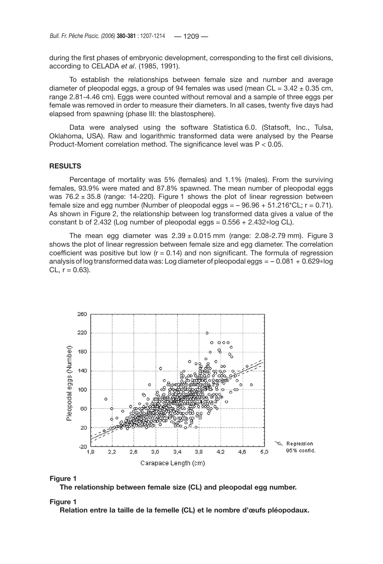during the first phases of embryonic development, corresponding to the first cell divisions, according to CELADA *et al*. (1985, 1991).

To establish the relationships between female size and number and average diameter of pleopodal eggs, a group of 94 females was used (mean  $CL = 3.42 \pm 0.35$  cm, range 2.81-4.46 cm). Eggs were counted without removal and a sample of three eggs per female was removed in order to measure their diameters. In all cases, twenty five days had elapsed from spawning (phase III: the blastosphere).

Data were analysed using the software Statistica 6.0. (Statsoft, Inc., Tulsa, Oklahoma, USA). Raw and logarithmic transformed data were analysed by the Pearse Product-Moment correlation method. The significance level was P < 0.05.

### **RESULTS**

Percentage of mortality was 5% (females) and 1.1% (males). From the surviving females, 93.9% were mated and 87.8% spawned. The mean number of pleopodal eggs was  $76.2 \pm 35.8$  (range: 14-220). Figure 1 shows the plot of linear regression between female size and egg number (Number of pleopodal eggs =  $-96.96 + 51.216$ <sup>\*</sup>CL;  $r = 0.71$ ). As shown in Figure 2, the relationship between log transformed data gives a value of the constant b of 2.432 (Log number of pleopodal eggs =  $0.556 + 2.432*$ log CL).

The mean egg diameter was  $2.39 \pm 0.015$  mm (range: 2.08-2.79 mm). Figure 3 shows the plot of linear regression between female size and egg diameter. The correlation coefficient was positive but low  $(r = 0.14)$  and non significant. The formula of regression analysis of log transformed data was: Log diameter of pleopodal eggs = – 0.081 + 0.629∗log  $CL, r = 0.63$ ).



### **Figure 1**

**The relationship between female size (CL) and pleopodal egg number.**

#### **Figure 1**

**Relation entre la taille de la femelle (CL) et le nombre d'œufs pléopodaux.**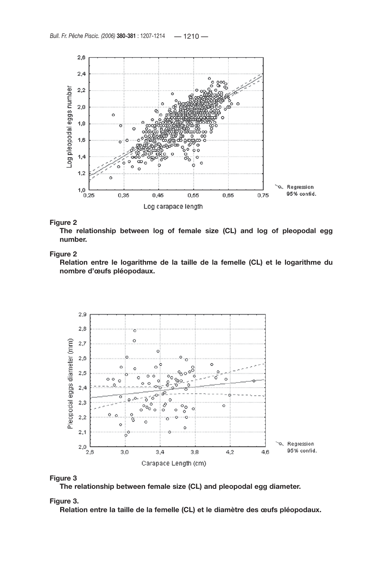

## **Figure 2**

**The relationship between log of female size (CL) and log of pleopodal egg number.**

## **Figure 2**

**Relation entre le logarithme de la taille de la femelle (CL) et le logarithme du nombre d'œufs pléopodaux.**



### **Figure 3**

**The relationship between female size (CL) and pleopodal egg diameter.**

## **Figure 3.**

**Relation entre la taille de la femelle (CL) et le diamètre des œufs pléopodaux.**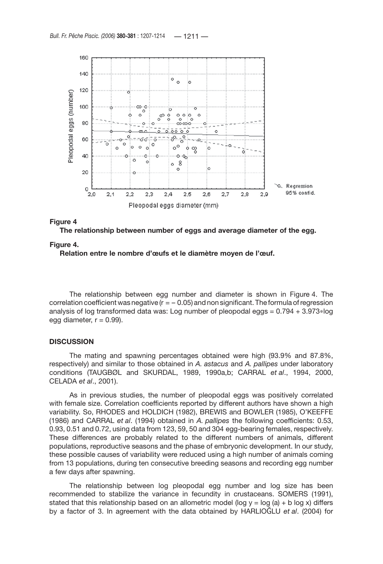



### **Figure 4.**

**Relation entre le nombre d'œufs et le diamètre moyen de l'œuf.** 

The relationship between egg number and diameter is shown in Figure 4. The correlation coefficient was negative ( $r = -0.05$ ) and non significant. The formula of regression analysis of log transformed data was: Log number of pleopodal eggs = 0.794 + 3.973∗log egg diameter,  $r = 0.99$ ).

## **DISCUSSION**

The mating and spawning percentages obtained were high (93.9% and 87.8%, respectively) and similar to those obtained in *A. astacus* and *A. pallipes* under laboratory conditions (TAUGBØL and SKURDAL, 1989, 1990a,b; CARRAL *et al*., 1994, 2000, CELADA *et al*., 2001).

As in previous studies, the number of pleopodal eggs was positively correlated with female size. Correlation coefficients reported by different authors have shown a high variability. So, RHODES and HOLDICH (1982), BREWIS and BOWLER (1985), O'KEEFFE (1986) and CARRAL *et al*. (1994) obtained in *A. pallipes* the following coefficients: 0.53, 0.93, 0.51 and 0.72, using data from 123, 59, 50 and 304 egg-bearing females, respectively. These differences are probably related to the different numbers of animals, different populations, reproductive seasons and the phase of embryonic development. In our study, these possible causes of variability were reduced using a high number of animals coming from 13 populations, during ten consecutive breeding seasons and recording egg number a few days after spawning.

The relationship between log pleopodal egg number and log size has been recommended to stabilize the variance in fecundity in crustaceans. SOMERS (1991), stated that this relationship based on an allometric model (log  $y = log(a) + b log(x)$ ) differs by a factor of 3. In agreement with the data obtained by HARLIOĞLU *et al*. (2004) for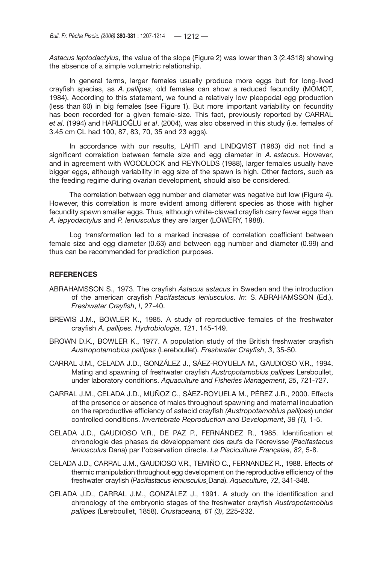*Astacus leptodactylus*, the value of the slope (Figure 2) was lower than 3 (2.4318) showing the absence of a simple volumetric relationship.

In general terms, larger females usually produce more eggs but for long-lived crayfish species, as *A. pallipes*, old females can show a reduced fecundity (MOMOT, 1984). According to this statement, we found a relatively low pleopodal egg production (less than 60) in big females (see Figure 1). But more important variability on fecundity has been recorded for a given female-size. This fact, previously reported by CARRAL *et al*. (1994) and HARLIOĞLU *et al*. (2004), was also observed in this study (i.e. females of 3.45 cm CL had 100, 87, 83, 70, 35 and 23 eggs).

In accordance with our results, LAHTI and LINDQVIST (1983) did not find a significant correlation between female size and egg diameter in *A. astacus*. However, and in agreement with WOODLOCK and REYNOLDS (1988), larger females usually have bigger eggs, although variability in egg size of the spawn is high. Other factors, such as the feeding regime during ovarian development, should also be considered.

The correlation between egg number and diameter was negative but low (Figure 4). However, this correlation is more evident among different species as those with higher fecundity spawn smaller eggs. Thus, although white-clawed crayfish carry fewer eggs than *A. lepyodactylus* and *P. leniusculus* they are larger (LOWERY, 1988).

Log transformation led to a marked increase of correlation coefficient between female size and egg diameter (0.63) and between egg number and diameter (0.99) and thus can be recommended for prediction purposes.

### **REFERENCES**

- ABRAHAMSSON S., 1973. The crayfish *Astacus astacus* in Sweden and the introduction of the american crayfish *Pacifastacus leniusculus*. *In*: S. ABRAHAMSSON (Ed.). *Freshwater Crayfish*, *I*, 27-40.
- BREWIS J.M., BOWLER K., 1985. A study of reproductive females of the freshwater crayfish *A. pallipes. Hydrobiologia*, *121*, 145-149.
- BROWN D.K., BOWLER K., 1977. A population study of the British freshwater crayfish *Austropotamobius pallipes* (Lereboullet). *Freshwater Crayfish*, *3*, 35-50.
- CARRAL J.M., CELADA J.D., GONZÁLEZ J., SÁEZ-ROYUELA M., GAUDIOSO V.R., 1994. Mating and spawning of freshwater crayfish *Austropotamobius pallipes* Lereboullet, under laboratory conditions. *Aquaculture and Fisheries Management*, *25*, 721-727.
- CARRAL J.M., CELADA J.D., MUÑOZ C., SÁEZ-ROYUELA M., PÉREZ J.R., 2000. Effects of the presence or absence of males throughout spawning and maternal incubation on the reproductive efficiency of astacid crayfish *(Austropotamobius pallipes*) under controlled conditions. *Invertebrate Reproduction and Development*, *38 (1),* 1-5.
- CELADA J.D., GAUDIOSO V.R., DE PAZ P., FERNÁNDEZ R., 1985. Identification et chronologie des phases de développement des œufs de l'écrevisse (*Pacifastacus leniusculus* Dana) par l'observation directe. *La Pisciculture Française*, *82*, 5-8.
- CELADA J.D., CARRAL J.M., GAUDIOSO V.R., TEMIÑO C., FERNANDEZ R., 1988. Effects of thermic manipulation throughout egg development on the reproductive efficiency of the freshwater crayfish (*Pacifastacus leniusculus* Dana). *Aquaculture*, *72*, 341-348.
- CELADA J.D., CARRAL J.M., GONZÁLEZ J., 1991. A study on the identification and chronology of the embryonic stages of the freshwater crayfish *Austropotamobius pallipes* (Lereboullet, 1858). *Crustaceana, 61 (3)*, 225-232.